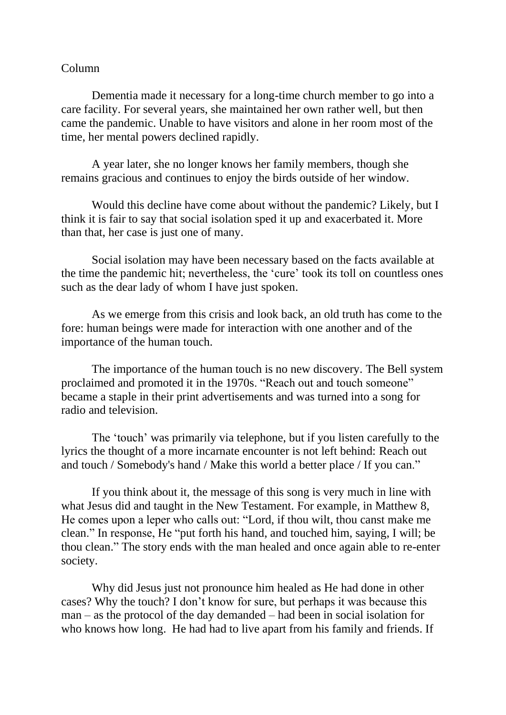## Column

Dementia made it necessary for a long-time church member to go into a care facility. For several years, she maintained her own rather well, but then came the pandemic. Unable to have visitors and alone in her room most of the time, her mental powers declined rapidly.

A year later, she no longer knows her family members, though she remains gracious and continues to enjoy the birds outside of her window.

Would this decline have come about without the pandemic? Likely, but I think it is fair to say that social isolation sped it up and exacerbated it. More than that, her case is just one of many.

Social isolation may have been necessary based on the facts available at the time the pandemic hit; nevertheless, the 'cure' took its toll on countless ones such as the dear lady of whom I have just spoken.

As we emerge from this crisis and look back, an old truth has come to the fore: human beings were made for interaction with one another and of the importance of the human touch.

The importance of the human touch is no new discovery. The Bell system proclaimed and promoted it in the 1970s. "Reach out and touch someone" became a staple in their print advertisements and was turned into a song for radio and television.

The 'touch' was primarily via telephone, but if you listen carefully to the lyrics the thought of a more incarnate encounter is not left behind: Reach out and touch / Somebody's hand / Make this world a better place / If you can."

If you think about it, the message of this song is very much in line with what Jesus did and taught in the New Testament. For example, in Matthew 8, He comes upon a leper who calls out: "Lord, if thou wilt, thou canst make me clean." In response, He "put forth his hand, and touched him, saying, I will; be thou clean." The story ends with the man healed and once again able to re-enter society.

Why did Jesus just not pronounce him healed as He had done in other cases? Why the touch? I don't know for sure, but perhaps it was because this man – as the protocol of the day demanded – had been in social isolation for who knows how long. He had had to live apart from his family and friends. If